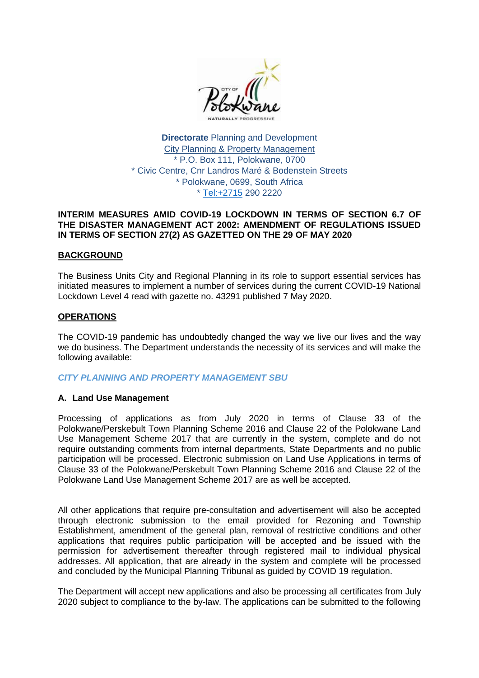

**Directorate** Planning and Development City Planning & Property Management \* P.O. Box 111, Polokwane, 0700 \* Civic Centre, Cnr Landros Maré & Bodenstein Streets \* Polokwane, 0699, South Africa \*<Tel:+2715> 290 2220

#### **INTERIM MEASURES AMID COVID-19 LOCKDOWN IN TERMS OF SECTION 6.7 OF THE DISASTER MANAGEMENT ACT 2002: AMENDMENT OF REGULATIONS ISSUED IN TERMS OF SECTION 27(2) AS GAZETTED ON THE 29 OF MAY 2020**

#### **BACKGROUND**

The Business Units City and Regional Planning in its role to support essential services has initiated measures to implement a number of services during the current COVID-19 National Lockdown Level 4 read with gazette no. 43291 published 7 May 2020.

#### **OPERATIONS**

The COVID-19 pandemic has undoubtedly changed the way we live our lives and the way we do business. The Department understands the necessity of its services and will make the following available:

## *CITY PLANNING AND PROPERTY MANAGEMENT SBU*

## **A. Land Use Management**

Processing of applications as from July 2020 in terms of Clause 33 of the Polokwane/Perskebult Town Planning Scheme 2016 and Clause 22 of the Polokwane Land Use Management Scheme 2017 that are currently in the system, complete and do not require outstanding comments from internal departments, State Departments and no public participation will be processed. Electronic submission on Land Use Applications in terms of Clause 33 of the Polokwane/Perskebult Town Planning Scheme 2016 and Clause 22 of the Polokwane Land Use Management Scheme 2017 are as well be accepted.

All other applications that require pre-consultation and advertisement will also be accepted through electronic submission to the email provided for Rezoning and Township Establishment, amendment of the general plan, removal of restrictive conditions and other applications that requires public participation will be accepted and be issued with the permission for advertisement thereafter through registered mail to individual physical addresses. All application, that are already in the system and complete will be processed and concluded by the Municipal Planning Tribunal as guided by COVID 19 regulation.

The Department will accept new applications and also be processing all certificates from July 2020 subject to compliance to the by-law. The applications can be submitted to the following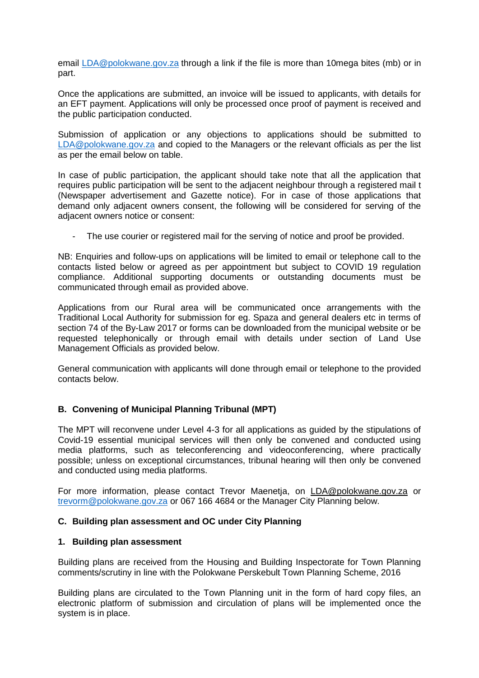email [LDA@polokwane.gov.za](mailto:LDA@polokwane.gov.za) through a link if the file is more than 10mega bites (mb) or in part.

Once the applications are submitted, an invoice will be issued to applicants, with details for an EFT payment. Applications will only be processed once proof of payment is received and the public participation conducted.

Submission of application or any objections to applications should be submitted to [LDA@polokwane.gov.za](mailto:LDA@polokwane.gov.za) and copied to the Managers or the relevant officials as per the list as per the email below on table.

In case of public participation, the applicant should take note that all the application that requires public participation will be sent to the adjacent neighbour through a registered mail t (Newspaper advertisement and Gazette notice). For in case of those applications that demand only adjacent owners consent, the following will be considered for serving of the adjacent owners notice or consent:

- The use courier or registered mail for the serving of notice and proof be provided.

NB: Enquiries and follow-ups on applications will be limited to email or telephone call to the contacts listed below or agreed as per appointment but subject to COVID 19 regulation compliance. Additional supporting documents or outstanding documents must be communicated through email as provided above.

Applications from our Rural area will be communicated once arrangements with the Traditional Local Authority for submission for eg. Spaza and general dealers etc in terms of section 74 of the By-Law 2017 or forms can be downloaded from the municipal website or be requested telephonically or through email with details under section of Land Use Management Officials as provided below.

General communication with applicants will done through email or telephone to the provided contacts below.

## **B. Convening of Municipal Planning Tribunal (MPT)**

The MPT will reconvene under Level 4-3 for all applications as guided by the stipulations of Covid-19 essential municipal services will then only be convened and conducted using media platforms, such as teleconferencing and videoconferencing, where practically possible; unless on exceptional circumstances, tribunal hearing will then only be convened and conducted using media platforms.

For more information, please contact Trevor Maenetja, on [LDA@polokwane.gov.za](mailto:LDA@polokwane.gov.za) or [trevorm@polokwane.gov.za](mailto:trevorm@polokwane.gov.za) or 067 166 4684 or the Manager City Planning below.

## **C. Building plan assessment and OC under City Planning**

#### **1. Building plan assessment**

Building plans are received from the Housing and Building Inspectorate for Town Planning comments/scrutiny in line with the Polokwane Perskebult Town Planning Scheme, 2016

Building plans are circulated to the Town Planning unit in the form of hard copy files, an electronic platform of submission and circulation of plans will be implemented once the system is in place.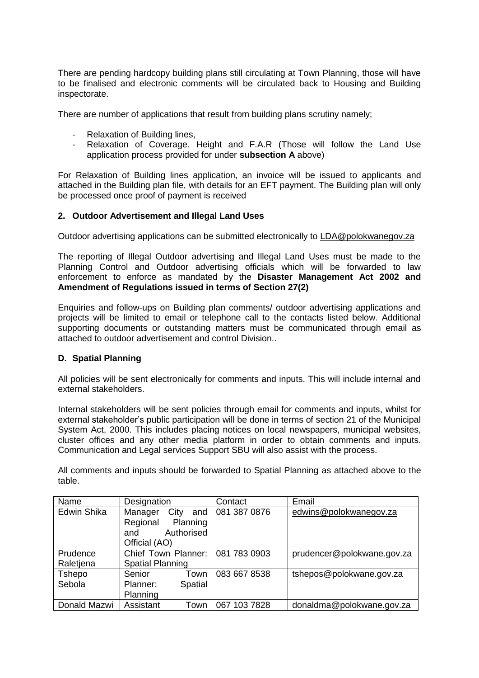There are pending hardcopy building plans still circulating at Town Planning, those will have to be finalised and electronic comments will be circulated back to Housing and Building inspectorate.

There are number of applications that result from building plans scrutiny namely;

- Relaxation of Building lines,
- Relaxation of Coverage. Height and F.A.R (Those will follow the Land Use application process provided for under **subsection A** above)

For Relaxation of Building lines application, an invoice will be issued to applicants and attached in the Building plan file, with details for an EFT payment. The Building plan will only be processed once proof of payment is received

# **2. Outdoor Advertisement and Illegal Land Uses**

Outdoor advertising applications can be submitted electronically to [LDA@polokwanegov.za](mailto:LDA@polokwanegov.za)

The reporting of Illegal Outdoor advertising and Illegal Land Uses must be made to the Planning Control and Outdoor advertising officials which will be forwarded to law enforcement to enforce as mandated by the **Disaster Management Act 2002 and Amendment of Regulations issued in terms of Section 27(2)**

Enquiries and follow-ups on Building plan comments/ outdoor advertising applications and projects will be limited to email or telephone call to the contacts listed below. Additional supporting documents or outstanding matters must be communicated through email as attached to outdoor advertisement and control Division..

## **D. Spatial Planning**

All policies will be sent electronically for comments and inputs. This will include internal and external stakeholders.

Internal stakeholders will be sent policies through email for comments and inputs, whilst for external stakeholder's public participation will be done in terms of section 21 of the Municipal System Act, 2000. This includes placing notices on local newspapers, municipal websites, cluster offices and any other media platform in order to obtain comments and inputs. Communication and Legal services Support SBU will also assist with the process.

All comments and inputs should be forwarded to Spatial Planning as attached above to the table.

| Name         | Designation             | Contact      | Email                      |
|--------------|-------------------------|--------------|----------------------------|
| Edwin Shika  | City<br>Manager<br>and  | 081 387 0876 | edwins@polokwanegov.za     |
|              | Regional<br>Planning    |              |                            |
|              | Authorised<br>and       |              |                            |
|              | Official (AO)           |              |                            |
| Prudence     | Chief Town Planner:     | 081 783 0903 | prudencer@polokwane.gov.za |
| Raletjena    | <b>Spatial Planning</b> |              |                            |
| Tshepo       | Senior<br>Town          | 083 667 8538 | tshepos@polokwane.gov.za   |
| Sebola       | Spatial<br>Planner:     |              |                            |
|              | Planning                |              |                            |
| Donald Mazwi | Assistant<br>Town       | 067 103 7828 | donaldma@polokwane.gov.za  |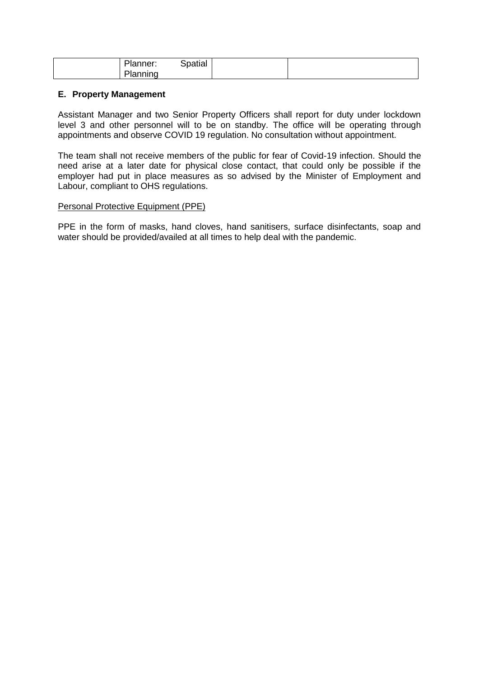| DL.<br>lanner:  | Spatial |  |
|-----------------|---------|--|
| ירו<br>'lanning |         |  |

## **E. Property Management**

Assistant Manager and two Senior Property Officers shall report for duty under lockdown level 3 and other personnel will to be on standby. The office will be operating through appointments and observe COVID 19 regulation. No consultation without appointment.

The team shall not receive members of the public for fear of Covid-19 infection. Should the need arise at a later date for physical close contact, that could only be possible if the employer had put in place measures as so advised by the Minister of Employment and Labour, compliant to OHS regulations.

#### Personal Protective Equipment (PPE)

PPE in the form of masks, hand cloves, hand sanitisers, surface disinfectants, soap and water should be provided/availed at all times to help deal with the pandemic.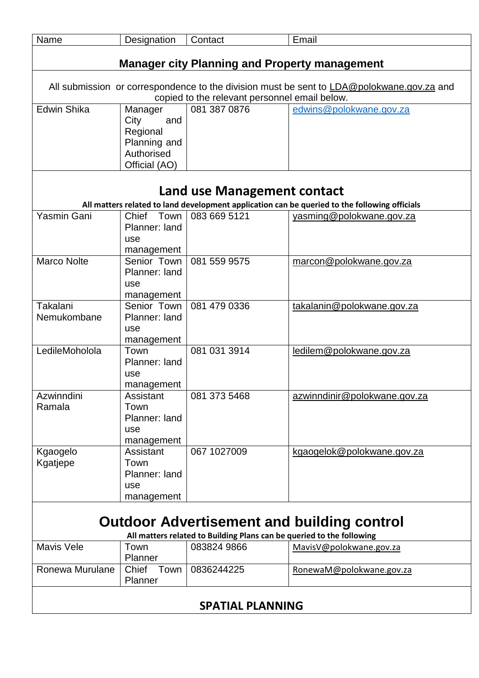| Name               | Designation   | Contact                                                               | Email                                                                                         |
|--------------------|---------------|-----------------------------------------------------------------------|-----------------------------------------------------------------------------------------------|
|                    |               |                                                                       |                                                                                               |
|                    |               | <b>Manager city Planning and Property management</b>                  |                                                                                               |
|                    |               |                                                                       |                                                                                               |
|                    |               |                                                                       | All submission or correspondence to the division must be sent to LDA@polokwane.gov.za and     |
|                    |               | copied to the relevant personnel email below.                         |                                                                                               |
| <b>Edwin Shika</b> | Manager       | 081 387 0876                                                          | edwins@polokwane.gov.za                                                                       |
|                    | City<br>and   |                                                                       |                                                                                               |
|                    | Regional      |                                                                       |                                                                                               |
|                    | Planning and  |                                                                       |                                                                                               |
|                    | Authorised    |                                                                       |                                                                                               |
|                    | Official (AO) |                                                                       |                                                                                               |
|                    |               |                                                                       |                                                                                               |
|                    |               |                                                                       |                                                                                               |
|                    |               | Land use Management contact                                           |                                                                                               |
|                    |               |                                                                       | All matters related to land development application can be queried to the following officials |
| Yasmin Gani        | Chief Town    | 083 669 5121                                                          | yasming@polokwane.gov.za                                                                      |
|                    | Planner: land |                                                                       |                                                                                               |
|                    | use           |                                                                       |                                                                                               |
|                    | management    |                                                                       |                                                                                               |
| <b>Marco Nolte</b> | Senior Town   | 081 559 9575                                                          | marcon@polokwane.gov.za                                                                       |
|                    | Planner: land |                                                                       |                                                                                               |
|                    | use           |                                                                       |                                                                                               |
|                    | management    |                                                                       |                                                                                               |
| Takalani           | Senior Town   | 081 479 0336                                                          | takalanin@polokwane.gov.za                                                                    |
| Nemukombane        | Planner: land |                                                                       |                                                                                               |
|                    | use           |                                                                       |                                                                                               |
|                    | management    |                                                                       |                                                                                               |
| LedileMoholola     | Town          | 081 031 3914                                                          | ledilem@polokwane.gov.za                                                                      |
|                    | Planner: land |                                                                       |                                                                                               |
|                    | use           |                                                                       |                                                                                               |
|                    | management    |                                                                       |                                                                                               |
| Azwinndini         | Assistant     | 081 373 5468                                                          | azwinndinir@polokwane.gov.za                                                                  |
| Ramala             | Town          |                                                                       |                                                                                               |
|                    | Planner: land |                                                                       |                                                                                               |
|                    | use           |                                                                       |                                                                                               |
|                    | management    |                                                                       |                                                                                               |
| Kgaogelo           | Assistant     | 067 1027009                                                           | kgaogelok@polokwane.gov.za                                                                    |
| Kgatjepe           | Town          |                                                                       |                                                                                               |
|                    | Planner: land |                                                                       |                                                                                               |
|                    | use           |                                                                       |                                                                                               |
|                    | management    |                                                                       |                                                                                               |
|                    |               |                                                                       |                                                                                               |
|                    |               |                                                                       | <b>Outdoor Advertisement and building control</b>                                             |
|                    |               | All matters related to Building Plans can be queried to the following |                                                                                               |
| <b>Mavis Vele</b>  | Town          | 083824 9866                                                           | MavisV@polokwane.gov.za                                                                       |
|                    | Planner       |                                                                       |                                                                                               |
| Ronewa Murulane    | Chief Town    | 0836244225                                                            | RonewaM@polokwane.gov.za                                                                      |
|                    | Planner       |                                                                       |                                                                                               |
|                    |               |                                                                       |                                                                                               |
|                    |               |                                                                       |                                                                                               |
|                    |               | <b>SPATIAL PLANNING</b>                                               |                                                                                               |